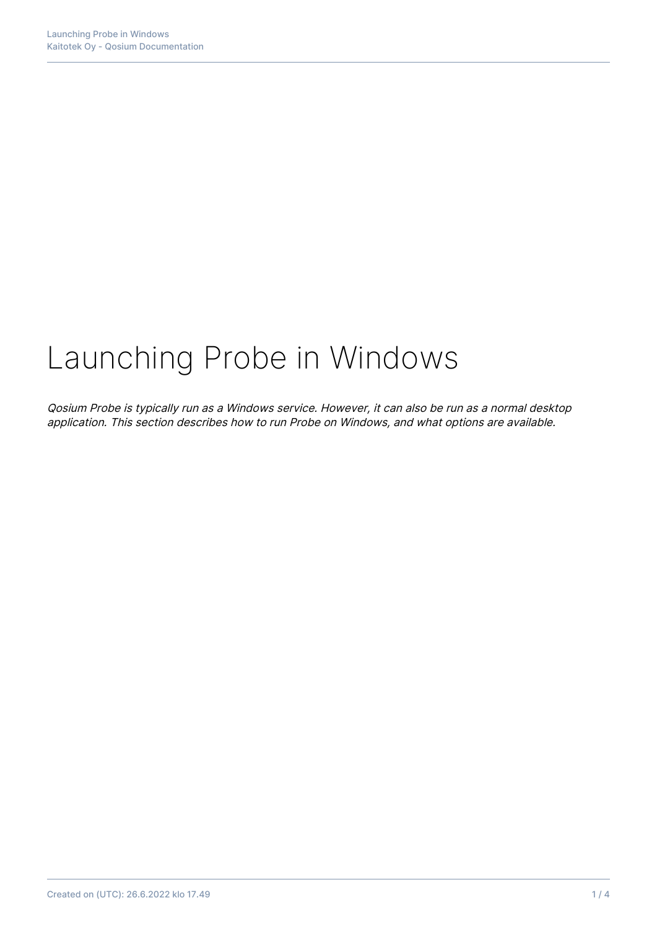# Launching Probe in Windows

Qosium Probe is typically run as a Windows service. However, it can also be run as a normal desktop application. This section describes how to run Probe on Windows, and what options are available.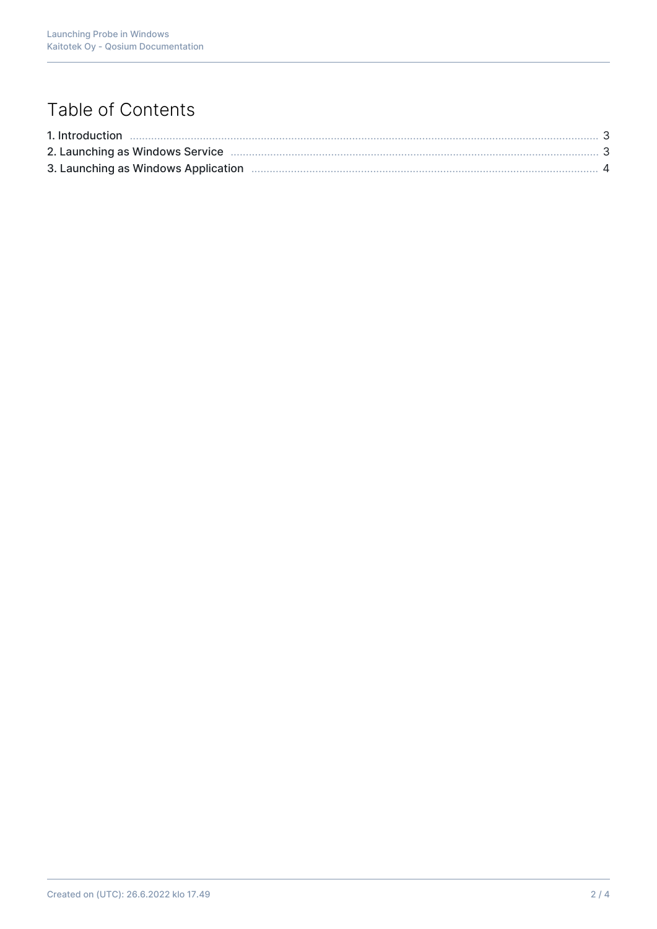## Table of Contents

| 2. Launching as Windows Service <b>much manufacture and the contract of the Strate</b> 3 |  |
|------------------------------------------------------------------------------------------|--|
|                                                                                          |  |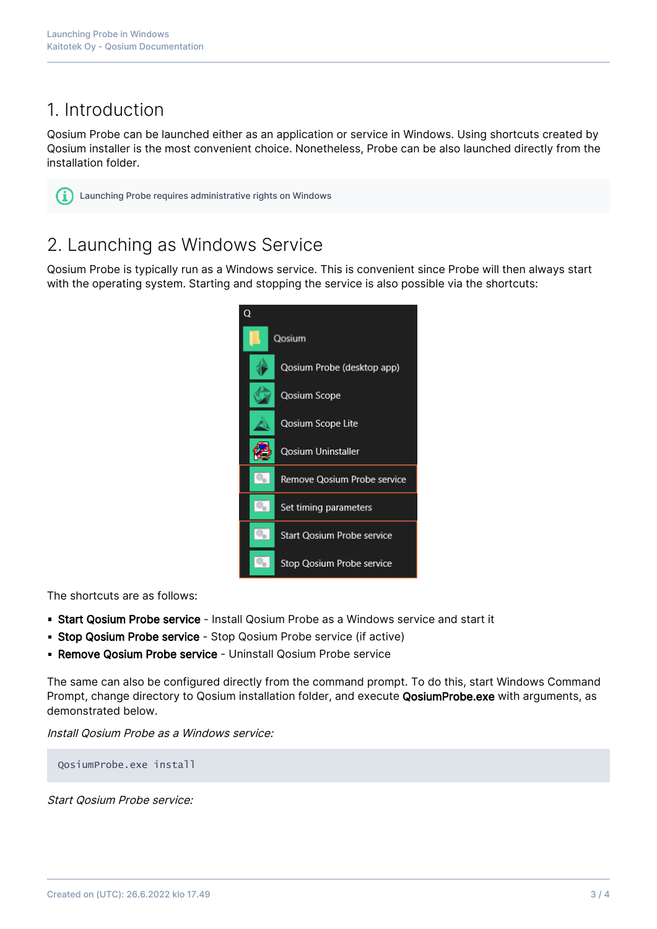### 1. Introduction

Qosium Probe can be launched either as an application or service in Windows. Using shortcuts created by Qosium installer is the most convenient choice. Nonetheless, Probe can be also launched directly from the installation folder.

Launching Probe requires administrative rights on Windows

### 2. Launching as Windows Service

Qosium Probe is typically run as a Windows service. This is convenient since Probe will then always start with the operating system. Starting and stopping the service is also possible via the shortcuts:



The shortcuts are as follows:

- **Start Qosium Probe service** Install Qosium Probe as a Windows service and start it
- **Stop Qosium Probe service** Stop Qosium Probe service (if active)
- **Remove Qosium Probe service** Uninstall Qosium Probe service

The same can also be configured directly from the command prompt. To do this, start Windows Command Prompt, change directory to Qosium installation folder, and execute QosiumProbe.exe with arguments, as demonstrated below.

Install Qosium Probe as a Windows service:

QosiumProbe.exe install

Start Qosium Probe service: